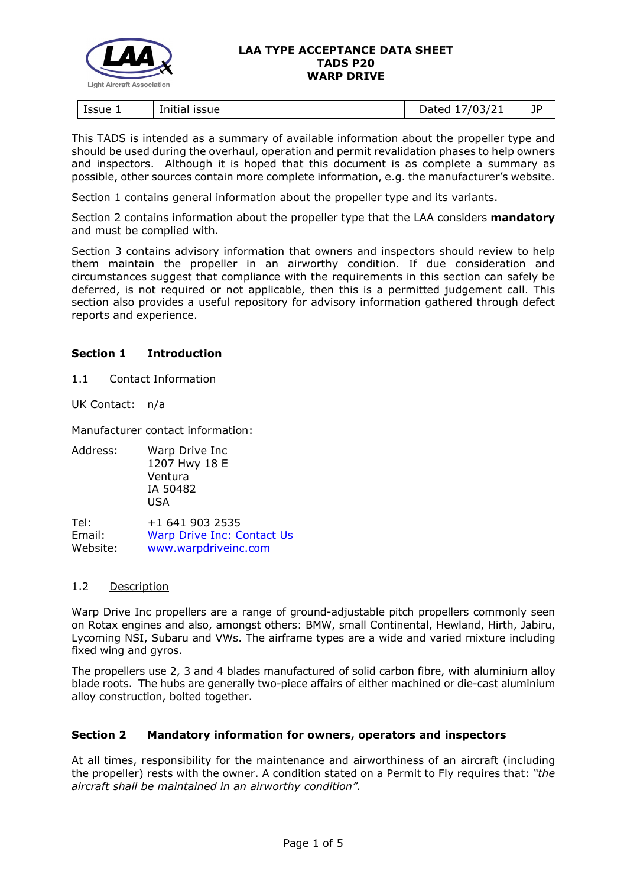

#### **LAA TYPE ACCEPTANCE DATA SHEET TADS P20 WARP DRIVE**

| ssue 1<br>issue<br>Initial | 1021<br>.<br>07<br>ــ∠/د'<br>.,<br>2000 | --<br>ΙL<br>- 1 |
|----------------------------|-----------------------------------------|-----------------|
|----------------------------|-----------------------------------------|-----------------|

This TADS is intended as a summary of available information about the propeller type and should be used during the overhaul, operation and permit revalidation phases to help owners and inspectors. Although it is hoped that this document is as complete a summary as possible, other sources contain more complete information, e.g. the manufacturer's website.

Section 1 contains general information about the propeller type and its variants.

Section 2 contains information about the propeller type that the LAA considers **mandatory** and must be complied with.

Section 3 contains advisory information that owners and inspectors should review to help them maintain the propeller in an airworthy condition. If due consideration and circumstances suggest that compliance with the requirements in this section can safely be deferred, is not required or not applicable, then this is a permitted judgement call. This section also provides a useful repository for advisory information gathered through defect reports and experience.

# **Section 1 Introduction**

1.1 Contact Information

UK Contact: n/a

Manufacturer contact information:

Address: Warp Drive Inc 1207 Hwy 18 E Ventura IA 50482 USA

Tel: +1 641 903 2535 Email: [Warp Drive Inc: Contact Us](https://warpdriveinc.com/contact/)<br>Website: www.warpdriveinc.com [www.warpdriveinc.com](https://warpdriveinc.com/)

# 1.2 Description

Warp Drive Inc propellers are a range of ground-adjustable pitch propellers commonly seen on Rotax engines and also, amongst others: BMW, small Continental, Hewland, Hirth, Jabiru, Lycoming NSI, Subaru and VWs. The airframe types are a wide and varied mixture including fixed wing and gyros.

The propellers use 2, 3 and 4 blades manufactured of solid carbon fibre, with aluminium alloy blade roots. The hubs are generally two-piece affairs of either machined or die-cast aluminium alloy construction, bolted together.

# **Section 2 Mandatory information for owners, operators and inspectors**

At all times, responsibility for the maintenance and airworthiness of an aircraft (including the propeller) rests with the owner. A condition stated on a Permit to Fly requires that: *"the aircraft shall be maintained in an airworthy condition".*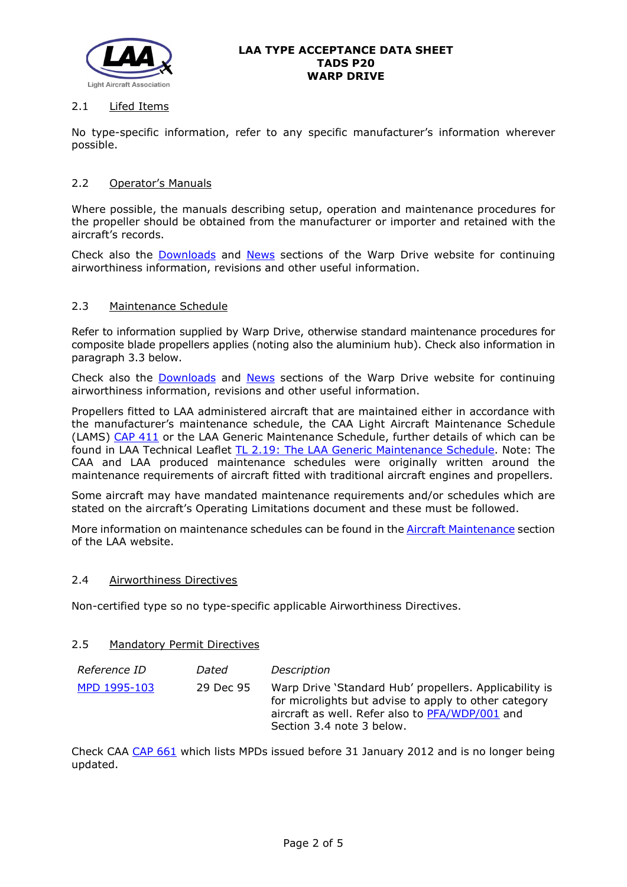

# 2.1 Lifed Items

No type-specific information, refer to any specific manufacturer's information wherever possible.

# 2.2 Operator's Manuals

Where possible, the manuals describing setup, operation and maintenance procedures for the propeller should be obtained from the manufacturer or importer and retained with the aircraft's records.

Check also the [Downloads](https://warpdriveinc.com/downloads/) and [News](https://warpdriveinc.com/news/) sections of the Warp Drive website for continuing airworthiness information, revisions and other useful information.

# 2.3 Maintenance Schedule

Refer to information supplied by Warp Drive, otherwise standard maintenance procedures for composite blade propellers applies (noting also the aluminium hub). Check also information in paragraph 3.3 below.

Check also the [Downloads](https://warpdriveinc.com/downloads/) and [News](https://warpdriveinc.com/news/) sections of the Warp Drive website for continuing airworthiness information, revisions and other useful information.

Propellers fitted to LAA administered aircraft that are maintained either in accordance with the manufacturer's maintenance schedule, the CAA Light Aircraft Maintenance Schedule (LAMS) [CAP 411](http://www.caa.co.uk/CAP411) or the LAA Generic Maintenance Schedule, further details of which can be found in LAA Technical Leaflet [TL 2.19: The LAA Generic Maintenance Schedule.](http://www.lightaircraftassociation.co.uk/engineering/TechnicalLeaflets/Operating%20An%20Aircraft/TL%202.19%20The%20LAA%20Generic%20Maintenance%20Schedule.pdf) Note: The CAA and LAA produced maintenance schedules were originally written around the maintenance requirements of aircraft fitted with traditional aircraft engines and propellers.

Some aircraft may have mandated maintenance requirements and/or schedules which are stated on the aircraft's Operating Limitations document and these must be followed.

More information on maintenance schedules can be found in the [Aircraft Maintenance](http://www.lightaircraftassociation.co.uk/engineering/Maintenance/Aircraft_Maintenance.html) section of the LAA website.

# 2.4 Airworthiness Directives

Non-certified type so no type-specific applicable Airworthiness Directives.

#### 2.5 Mandatory Permit Directives

| <i>Reference ID</i> | Dated     | Description                                                                                                                                                                                     |
|---------------------|-----------|-------------------------------------------------------------------------------------------------------------------------------------------------------------------------------------------------|
| MPD 1995-103        | 29 Dec 95 | Warp Drive 'Standard Hub' propellers. Applicability is<br>for microlights but advise to apply to other category<br>aircraft as well. Refer also to PFA/WDP/001 and<br>Section 3.4 note 3 below. |

Check CAA [CAP 661](http://www.caa.co.uk/cap661) which lists MPDs issued before 31 January 2012 and is no longer being updated.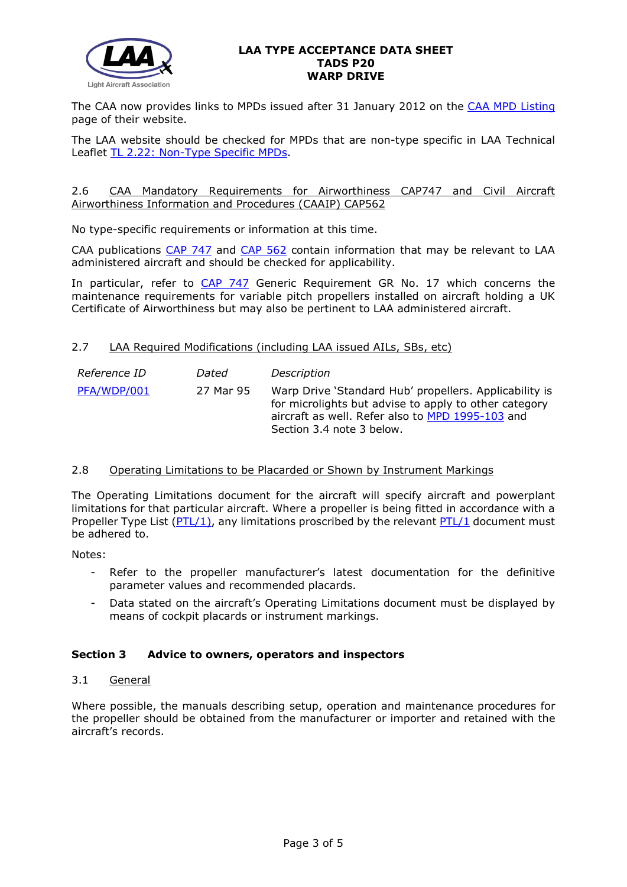

### **LAA TYPE ACCEPTANCE DATA SHEET TADS P20 WARP DRIVE**

The CAA now provides links to MPDs issued after 31 January 2012 on the [CAA MPD Listing](http://publicapps.caa.co.uk/modalapplication.aspx?appid=11&mode=list&type=sercat&id=55) page of their website.

The LAA website should be checked for MPDs that are non-type specific in LAA Technical Leaflet [TL 2.22: Non-Type Specific MPDs.](http://www.lightaircraftassociation.co.uk/engineering/TechnicalLeaflets/Operating%20An%20Aircraft/TL%202.22%20non-type%20specific%20MPDs.pdf)

### 2.6 CAA Mandatory Requirements for Airworthiness CAP747 and Civil Aircraft Airworthiness Information and Procedures (CAAIP) CAP562

No type-specific requirements or information at this time.

CAA publications [CAP 747](http://www.caa.co.uk/CAP747) and [CAP 562](http://www.caa.co.uk/CAP562) contain information that may be relevant to LAA administered aircraft and should be checked for applicability.

In particular, refer to [CAP 747](http://www.caa.co.uk/CAP747) Generic Requirement GR No. 17 which concerns the maintenance requirements for variable pitch propellers installed on aircraft holding a UK Certificate of Airworthiness but may also be pertinent to LAA administered aircraft.

# 2.7 LAA Required Modifications (including LAA issued AILs, SBs, etc)

| <i>Reference ID</i> | Dated     | Description                                                                                                                                                                                      |
|---------------------|-----------|--------------------------------------------------------------------------------------------------------------------------------------------------------------------------------------------------|
| PFA/WDP/001         | 27 Mar 95 | Warp Drive 'Standard Hub' propellers. Applicability is<br>for microlights but advise to apply to other category<br>aircraft as well. Refer also to MPD 1995-103 and<br>Section 3.4 note 3 below. |

# 2.8 Operating Limitations to be Placarded or Shown by Instrument Markings

The Operating Limitations document for the aircraft will specify aircraft and powerplant limitations for that particular aircraft. Where a propeller is being fitted in accordance with a Propeller Type List  $(PTL/1)$ , any limitations proscribed by the relevant  $PTL/1$  document must be adhered to.

Notes:

- Refer to the propeller manufacturer's latest documentation for the definitive parameter values and recommended placards.
- Data stated on the aircraft's Operating Limitations document must be displayed by means of cockpit placards or instrument markings.

# **Section 3 Advice to owners, operators and inspectors**

# 3.1 General

Where possible, the manuals describing setup, operation and maintenance procedures for the propeller should be obtained from the manufacturer or importer and retained with the aircraft's records.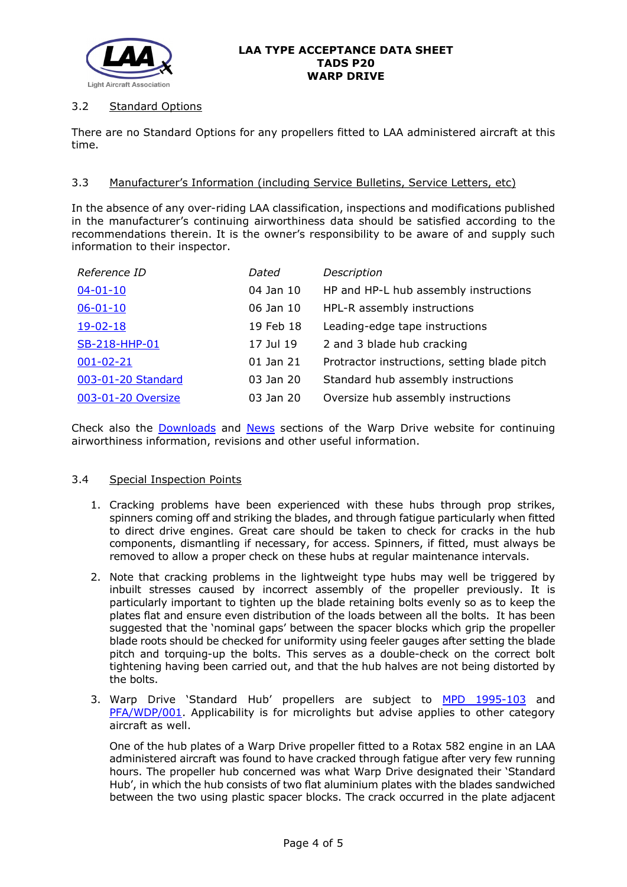

# 3.2 Standard Options

There are no Standard Options for any propellers fitted to LAA administered aircraft at this time.

# 3.3 Manufacturer's Information (including Service Bulletins, Service Letters, etc)

In the absence of any over-riding LAA classification, inspections and modifications published in the manufacturer's continuing airworthiness data should be satisfied according to the recommendations therein. It is the owner's responsibility to be aware of and supply such information to their inspector.

| Reference ID       | Dated     | Description                                  |
|--------------------|-----------|----------------------------------------------|
| $04 - 01 - 10$     | 04 Jan 10 | HP and HP-L hub assembly instructions        |
| $06 - 01 - 10$     | 06 Jan 10 | HPL-R assembly instructions                  |
| $19 - 02 - 18$     | 19 Feb 18 | Leading-edge tape instructions               |
| SB-218-HHP-01      | 17 Jul 19 | 2 and 3 blade hub cracking                   |
| $001 - 02 - 21$    | 01 Jan 21 | Protractor instructions, setting blade pitch |
| 003-01-20 Standard | 03 Jan 20 | Standard hub assembly instructions           |
| 003-01-20 Oversize | 03 Jan 20 | Oversize hub assembly instructions           |

Check also the [Downloads](https://warpdriveinc.com/downloads/) and [News](https://warpdriveinc.com/news/) sections of the Warp Drive website for continuing airworthiness information, revisions and other useful information.

# 3.4 Special Inspection Points

- 1. Cracking problems have been experienced with these hubs through prop strikes, spinners coming off and striking the blades, and through fatigue particularly when fitted to direct drive engines. Great care should be taken to check for cracks in the hub components, dismantling if necessary, for access. Spinners, if fitted, must always be removed to allow a proper check on these hubs at regular maintenance intervals.
- 2. Note that cracking problems in the lightweight type hubs may well be triggered by inbuilt stresses caused by incorrect assembly of the propeller previously. It is particularly important to tighten up the blade retaining bolts evenly so as to keep the plates flat and ensure even distribution of the loads between all the bolts. It has been suggested that the 'nominal gaps' between the spacer blocks which grip the propeller blade roots should be checked for uniformity using feeler gauges after setting the blade pitch and torquing-up the bolts. This serves as a double-check on the correct bolt tightening having been carried out, and that the hub halves are not being distorted by the bolts.
- 3. Warp Drive 'Standard Hub' propellers are subject to [MPD 1995-103](http://www.lightaircraftassociation.co.uk/engineering/TADs/P20/MPD%201995-103.pdf) and [PFA/WDP/001.](http://www.lightaircraftassociation.co.uk/engineering/TADs/P20/PFA%20WDP%20001%20270395.pdf) Applicability is for microlights but advise applies to other category aircraft as well.

One of the hub plates of a Warp Drive propeller fitted to a Rotax 582 engine in an LAA administered aircraft was found to have cracked through fatigue after very few running hours. The propeller hub concerned was what Warp Drive designated their 'Standard Hub', in which the hub consists of two flat aluminium plates with the blades sandwiched between the two using plastic spacer blocks. The crack occurred in the plate adjacent